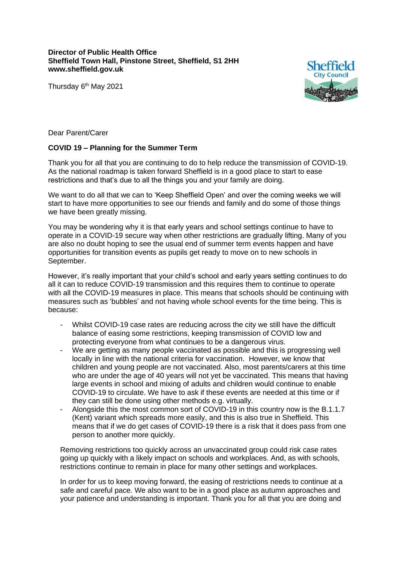## **Director of Public Health Office Sheffield Town Hall, Pinstone Street, Sheffield, S1 2HH www.sheffield.gov.uk**

Thursday 6<sup>th</sup> May 2021



Dear Parent/Carer

## **COVID 19 – Planning for the Summer Term**

Thank you for all that you are continuing to do to help reduce the transmission of COVID-19. As the national roadmap is taken forward Sheffield is in a good place to start to ease restrictions and that's due to all the things you and your family are doing.

We want to do all that we can to 'Keep Sheffield Open' and over the coming weeks we will start to have more opportunities to see our friends and family and do some of those things we have been greatly missing.

You may be wondering why it is that early years and school settings continue to have to operate in a COVID-19 secure way when other restrictions are gradually lifting. Many of you are also no doubt hoping to see the usual end of summer term events happen and have opportunities for transition events as pupils get ready to move on to new schools in September.

However, it's really important that your child's school and early years setting continues to do all it can to reduce COVID-19 transmission and this requires them to continue to operate with all the COVID-19 measures in place. This means that schools should be continuing with measures such as 'bubbles' and not having whole school events for the time being. This is because:

- Whilst COVID-19 case rates are reducing across the city we still have the difficult balance of easing some restrictions, keeping transmission of COVID low and protecting everyone from what continues to be a dangerous virus.
- We are getting as many people vaccinated as possible and this is progressing well locally in line with the national criteria for vaccination. However, we know that children and young people are not vaccinated. Also, most parents/carers at this time who are under the age of 40 years will not yet be vaccinated. This means that having large events in school and mixing of adults and children would continue to enable COVID-19 to circulate. We have to ask if these events are needed at this time or if they can still be done using other methods e.g. virtually.
- Alongside this the most common sort of COVID-19 in this country now is the B.1.1.7 (Kent) variant which spreads more easily, and this is also true in Sheffield. This means that if we do get cases of COVID-19 there is a risk that it does pass from one person to another more quickly.

Removing restrictions too quickly across an unvaccinated group could risk case rates going up quickly with a likely impact on schools and workplaces. And, as with schools, restrictions continue to remain in place for many other settings and workplaces.

In order for us to keep moving forward, the easing of restrictions needs to continue at a safe and careful pace. We also want to be in a good place as autumn approaches and your patience and understanding is important. Thank you for all that you are doing and